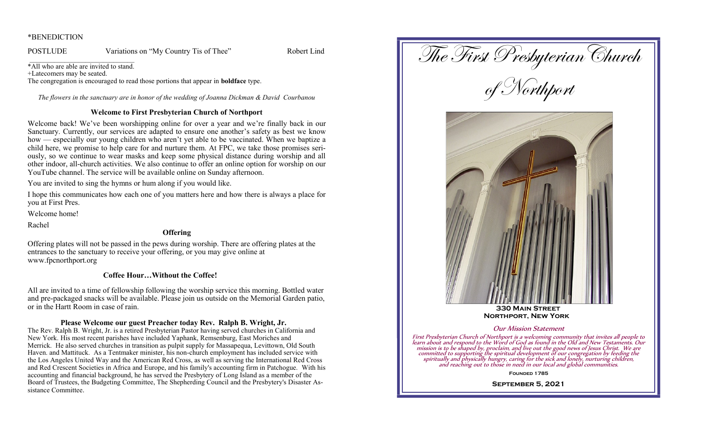#### \*BENEDICTION

POSTLUDE Variations on "My Country Tis of Thee" Robert Lind

\*All who are able are invited to stand.

+Latecomers may be seated.

The congregation is encouraged to read those portions that appear in **boldface** type.

*The flowers in the sanctuary are in honor of the wedding of Joanna Dickman & David Courbanou*

### **Welcome to First Presbyterian Church of Northport**

Welcome back! We've been worshipping online for over a year and we're finally back in our Sanctuary. Currently, our services are adapted to ensure one another's safety as best we know how — especially our young children who aren't yet able to be vaccinated. When we baptize a child here, we promise to help care for and nurture them. At FPC, we take those promises seriously, so we continue to wear masks and keep some physical distance during worship and all other indoor, all-church activities. We also continue to offer an online option for worship on our YouTube channel. The service will be available online on Sunday afternoon.

You are invited to sing the hymns or hum along if you would like.

I hope this communicates how each one of you matters here and how there is always a place for you at First Pres.

Welcome home!

Rachel

# **Offering**

Offering plates will not be passed in the pews during worship. There are offering plates at the entrances to the sanctuary to receive your offering, or you may give online at www.fpcnorthport.org

# **Coffee Hour…Without the Coffee!**

All are invited to a time of fellowship following the worship service this morning. Bottled water and pre-packaged snacks will be available. Please join us outside on the Memorial Garden patio, or in the Hartt Room in case of rain.

# **Please Welcome our guest Preacher today Rev. Ralph B. Wright, Jr.**

The Rev. Ralph B. Wright, Jr. is a retired Presbyterian Pastor having served churches in California and New York. His most recent parishes have included Yaphank, Remsenburg, East Moriches and Merrick. He also served churches in transition as pulpit supply for Massapequa, Levittown, Old South Haven. and Mattituck. As a Tentmaker minister, his non-church employment has included service with the Los Angeles United Way and the American Red Cross, as well as serving the International Red Cross and Red Crescent Societies in Africa and Europe, and his family's accounting firm in Patchogue. With his accounting and financial background, he has served the Presbytery of Long Island as a member of the Board of Trustees, the Budgeting Committee, The Shepherding Council and the Presbytery's Disaster Assistance Committee.